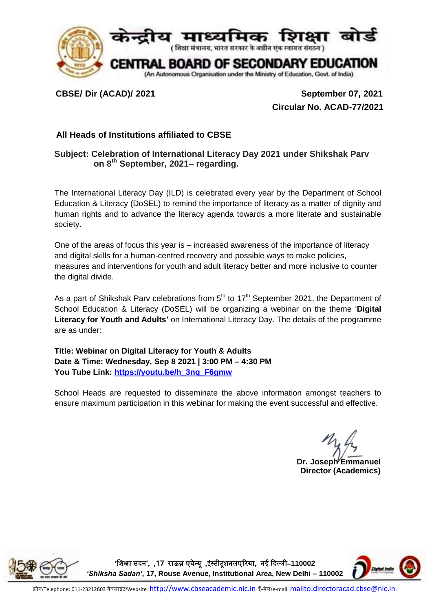

**CBSE/ Dir (ACAD)/ 2021 September 07, 2021 Circular No. ACAD-77/2021**

## **All Heads of Institutions affiliated to CBSE**

## **Subject: Celebration of International Literacy Day 2021 under Shikshak Parv on 8th September, 2021– regarding.**

The International Literacy Day (ILD) is celebrated every year by the Department of School Education & Literacy (DoSEL) to remind the importance of literacy as a matter of dignity and human rights and to advance the literacy agenda towards a more literate and sustainable society.

One of the areas of focus this year is – increased awareness of the importance of literacy and digital skills for a human-centred recovery and possible ways to make policies, measures and interventions for youth and adult literacy better and more inclusive to counter the digital divide.

As a part of Shikshak Parv celebrations from  $5<sup>th</sup>$  to 17<sup>th</sup> September 2021, the Department of School Education & Literacy (DoSEL) will be organizing a webinar on the theme '**Digital Literacy for Youth and Adults'** on International Literacy Day. The details of the programme are as under:

**Title: Webinar on Digital Literacy for Youth & Adults Date & Time: Wednesday, Sep 8 2021 | 3:00 PM – 4:30 PM You Tube Link: [https://youtu.be/h\\_3nq\\_F6gmw](https://youtu.be/h_3nq_F6gmw)**

School Heads are requested to disseminate the above information amongst teachers to ensure maximum participation in this webinar for making the event successful and effective.

**Dr. Joseph Emmanuel Director (Academics)**

**'**शिक्षा सदन**', ,71** राऊज़ एवेन्यू **,**इंस्टीटूिनलएररया**,** नई ददल्ली–**110002**  *'Shiksha Sadan'***, 17, Rouse Avenue, Institutional Area, New Delhi – 110002**